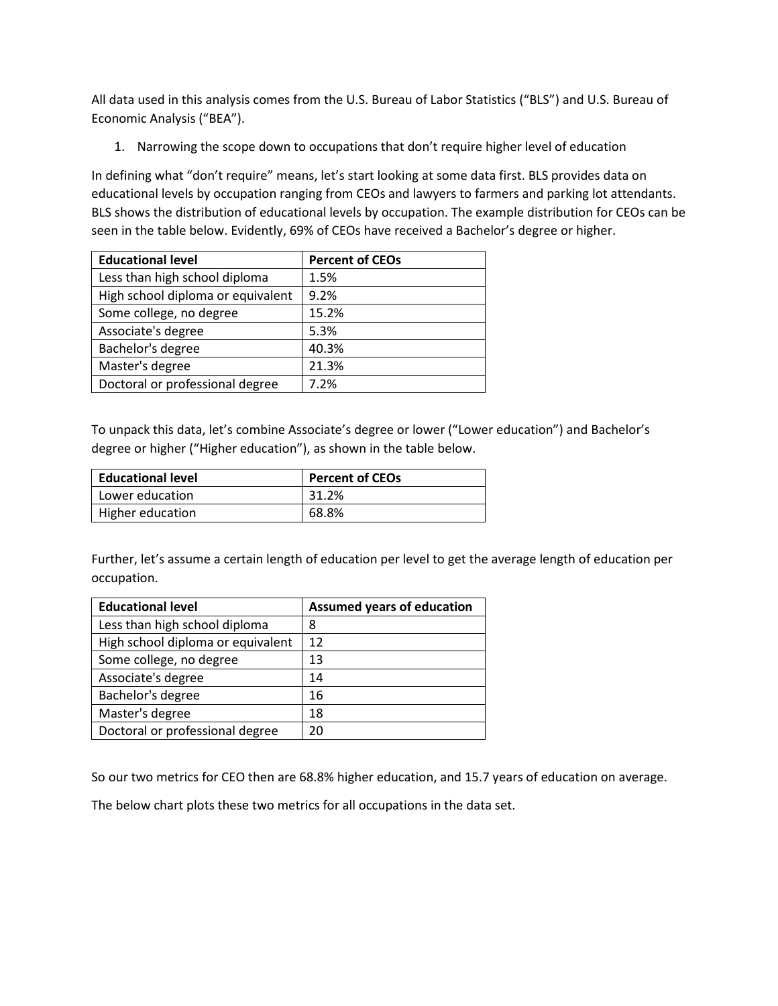All data used in this analysis comes from the U.S. Bureau of Labor Statistics ("BLS") and U.S. Bureau of Economic Analysis ("BEA").

1. Narrowing the scope down to occupations that don't require higher level of education

In defining what "don't require" means, let's start looking at some data first. BLS provides data on educational levels by occupation ranging from CEOs and lawyers to farmers and parking lot attendants. BLS shows the distribution of educational levels by occupation. The example distribution for CEOs can be seen in the table below. Evidently, 69% of CEOs have received a Bachelor's degree or higher.

| <b>Educational level</b>          | <b>Percent of CEOs</b> |
|-----------------------------------|------------------------|
| Less than high school diploma     | 1.5%                   |
| High school diploma or equivalent | 9.2%                   |
| Some college, no degree           | 15.2%                  |
| Associate's degree                | 5.3%                   |
| Bachelor's degree                 | 40.3%                  |
| Master's degree                   | 21.3%                  |
| Doctoral or professional degree   | 7.2%                   |

To unpack this data, let's combine Associate's degree or lower ("Lower education") and Bachelor's degree or higher ("Higher education"), as shown in the table below.

| <b>Educational level</b> | <b>Percent of CEOs</b> |
|--------------------------|------------------------|
| l Lower education        | 31.2%                  |
| Higher education         | 68.8%                  |

Further, let's assume a certain length of education per level to get the average length of education per occupation.

| <b>Educational level</b>          | <b>Assumed years of education</b> |
|-----------------------------------|-----------------------------------|
| Less than high school diploma     | 8                                 |
| High school diploma or equivalent | 12                                |
| Some college, no degree           | 13                                |
| Associate's degree                | 14                                |
| Bachelor's degree                 | 16                                |
| Master's degree                   | 18                                |
| Doctoral or professional degree   | 20                                |

So our two metrics for CEO then are 68.8% higher education, and 15.7 years of education on average.

The below chart plots these two metrics for all occupations in the data set.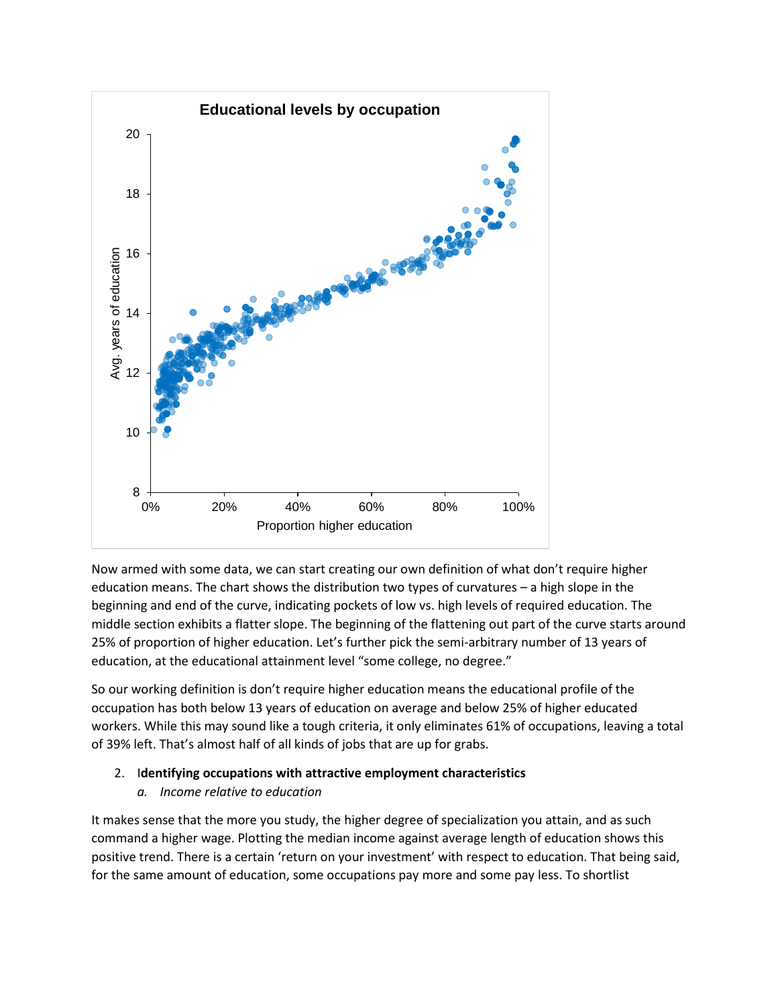

Now armed with some data, we can start creating our own definition of what don't require higher education means. The chart shows the distribution two types of curvatures – a high slope in the beginning and end of the curve, indicating pockets of low vs. high levels of required education. The middle section exhibits a flatter slope. The beginning of the flattening out part of the curve starts around 25% of proportion of higher education. Let's further pick the semi-arbitrary number of 13 years of education, at the educational attainment level "some college, no degree."

So our working definition is don't require higher education means the educational profile of the occupation has both below 13 years of education on average and below 25% of higher educated workers. While this may sound like a tough criteria, it only eliminates 61% of occupations, leaving a total of 39% left. That's almost half of all kinds of jobs that are up for grabs.

# 2. I**dentifying occupations with attractive employment characteristics**

# *a. Income relative to education*

It makes sense that the more you study, the higher degree of specialization you attain, and as such command a higher wage. Plotting the median income against average length of education shows this positive trend. There is a certain 'return on your investment' with respect to education. That being said, for the same amount of education, some occupations pay more and some pay less. To shortlist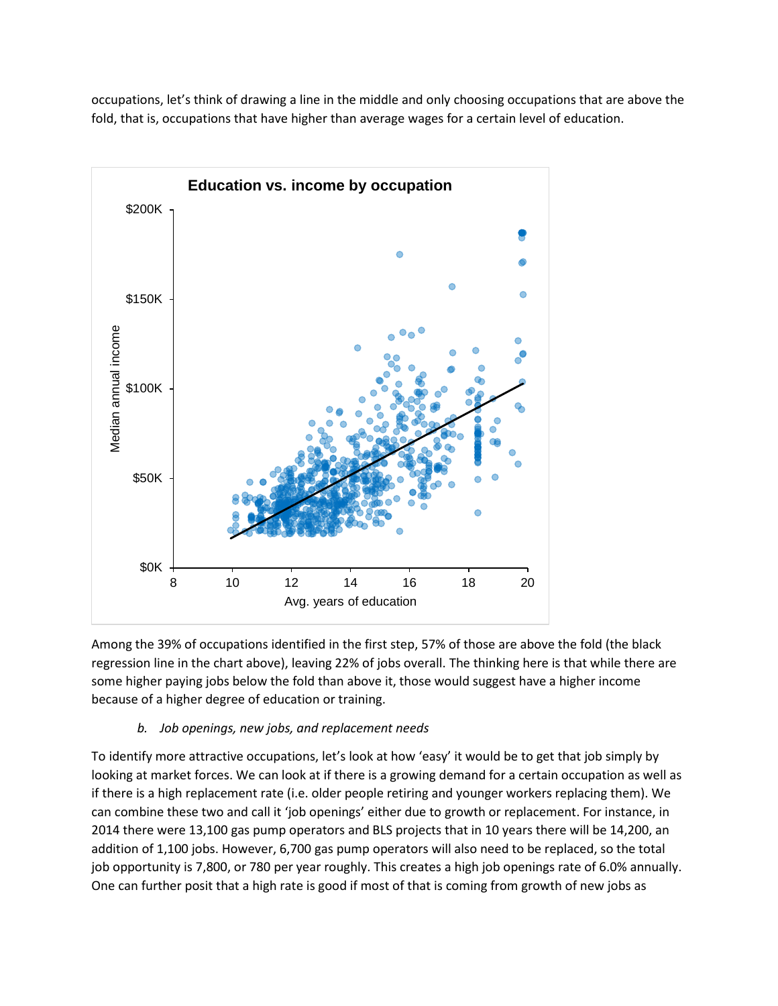occupations, let's think of drawing a line in the middle and only choosing occupations that are above the fold, that is, occupations that have higher than average wages for a certain level of education.



Among the 39% of occupations identified in the first step, 57% of those are above the fold (the black regression line in the chart above), leaving 22% of jobs overall. The thinking here is that while there are some higher paying jobs below the fold than above it, those would suggest have a higher income because of a higher degree of education or training.

# *b. Job openings, new jobs, and replacement needs*

To identify more attractive occupations, let's look at how 'easy' it would be to get that job simply by looking at market forces. We can look at if there is a growing demand for a certain occupation as well as if there is a high replacement rate (i.e. older people retiring and younger workers replacing them). We can combine these two and call it 'job openings' either due to growth or replacement. For instance, in 2014 there were 13,100 gas pump operators and BLS projects that in 10 years there will be 14,200, an addition of 1,100 jobs. However, 6,700 gas pump operators will also need to be replaced, so the total job opportunity is 7,800, or 780 per year roughly. This creates a high job openings rate of 6.0% annually. One can further posit that a high rate is good if most of that is coming from growth of new jobs as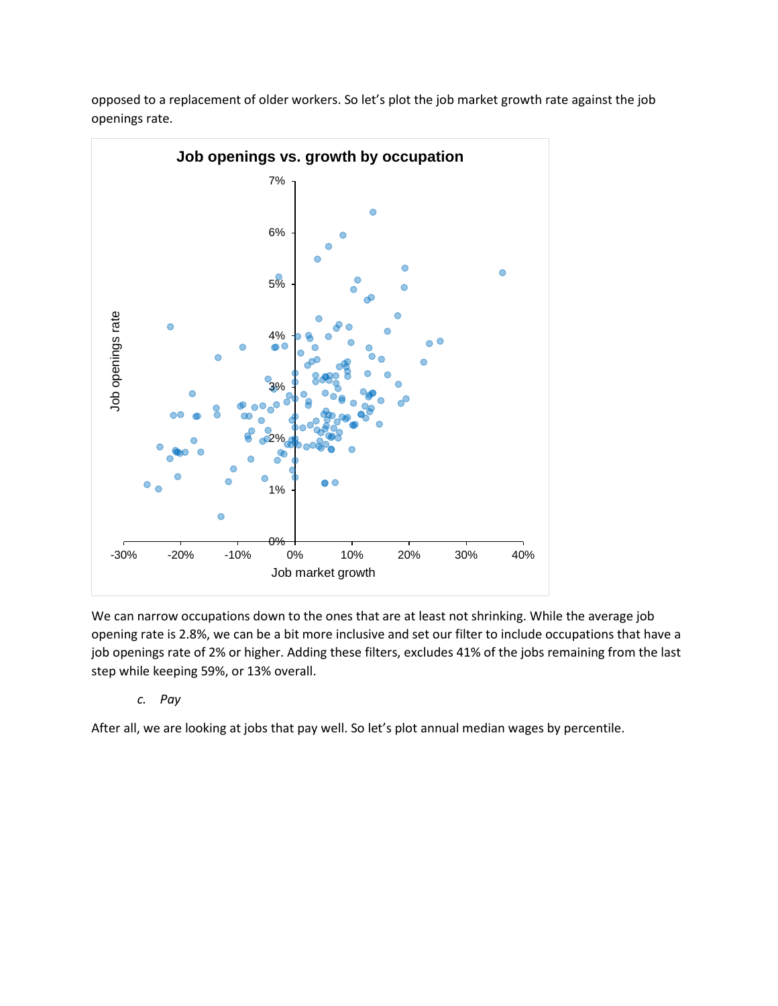

opposed to a replacement of older workers. So let's plot the job market growth rate against the job openings rate.

We can narrow occupations down to the ones that are at least not shrinking. While the average job opening rate is 2.8%, we can be a bit more inclusive and set our filter to include occupations that have a job openings rate of 2% or higher. Adding these filters, excludes 41% of the jobs remaining from the last step while keeping 59%, or 13% overall.

## *c. Pay*

After all, we are looking at jobs that pay well. So let's plot annual median wages by percentile.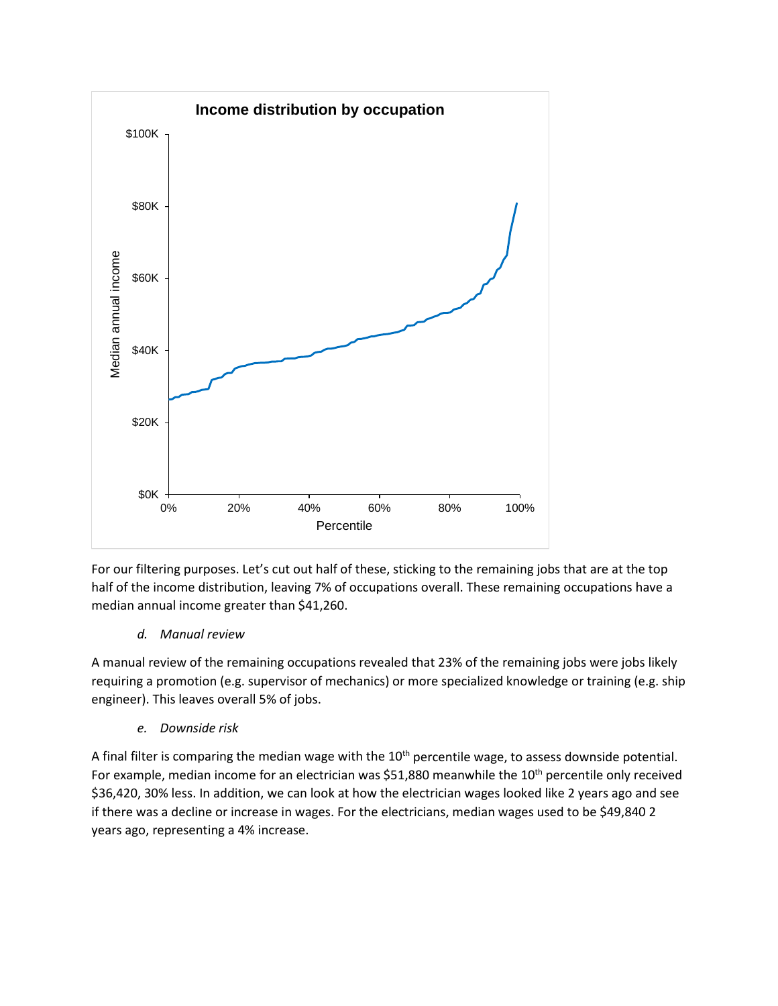

For our filtering purposes. Let's cut out half of these, sticking to the remaining jobs that are at the top half of the income distribution, leaving 7% of occupations overall. These remaining occupations have a median annual income greater than \$41,260.

## *d. Manual review*

A manual review of the remaining occupations revealed that 23% of the remaining jobs were jobs likely requiring a promotion (e.g. supervisor of mechanics) or more specialized knowledge or training (e.g. ship engineer). This leaves overall 5% of jobs.

### *e. Downside risk*

A final filter is comparing the median wage with the  $10<sup>th</sup>$  percentile wage, to assess downside potential. For example, median income for an electrician was \$51,880 meanwhile the 10<sup>th</sup> percentile only received \$36,420, 30% less. In addition, we can look at how the electrician wages looked like 2 years ago and see if there was a decline or increase in wages. For the electricians, median wages used to be \$49,840 2 years ago, representing a 4% increase.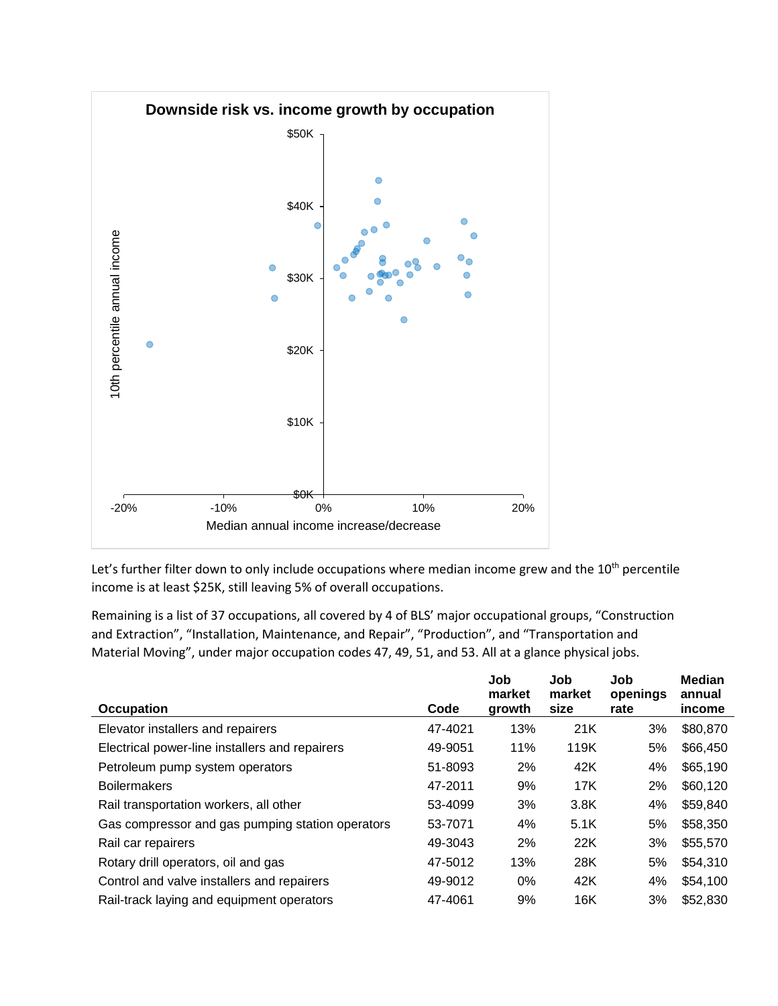

Let's further filter down to only include occupations where median income grew and the  $10<sup>th</sup>$  percentile income is at least \$25K, still leaving 5% of overall occupations.

Remaining is a list of 37 occupations, all covered by 4 of BLS' major occupational groups, "Construction and Extraction", "Installation, Maintenance, and Repair", "Production", and "Transportation and Material Moving", under major occupation codes 47, 49, 51, and 53. All at a glance physical jobs.

|                                                  |         | Job<br>market | Job<br>market | Job<br>openings | <b>Median</b><br>annual |
|--------------------------------------------------|---------|---------------|---------------|-----------------|-------------------------|
| <b>Occupation</b>                                | Code    | growth        | size          | rate            | income                  |
| Elevator installers and repairers                | 47-4021 | 13%           | 21K           | 3%              | \$80,870                |
| Electrical power-line installers and repairers   | 49-9051 | 11%           | 119K          | 5%              | \$66,450                |
| Petroleum pump system operators                  | 51-8093 | 2%            | 42K           | 4%              | \$65,190                |
| <b>Boilermakers</b>                              | 47-2011 | 9%            | 17K           | 2%              | \$60,120                |
| Rail transportation workers, all other           | 53-4099 | 3%            | 3.8K          | 4%              | \$59,840                |
| Gas compressor and gas pumping station operators | 53-7071 | 4%            | 5.1K          | 5%              | \$58,350                |
| Rail car repairers                               | 49-3043 | 2%            | 22K           | 3%              | \$55,570                |
| Rotary drill operators, oil and gas              | 47-5012 | 13%           | 28K           | 5%              | \$54,310                |
| Control and valve installers and repairers       | 49-9012 | $0\%$         | 42K           | 4%              | \$54,100                |
| Rail-track laying and equipment operators        | 47-4061 | 9%            | 16K           | 3%              | \$52,830                |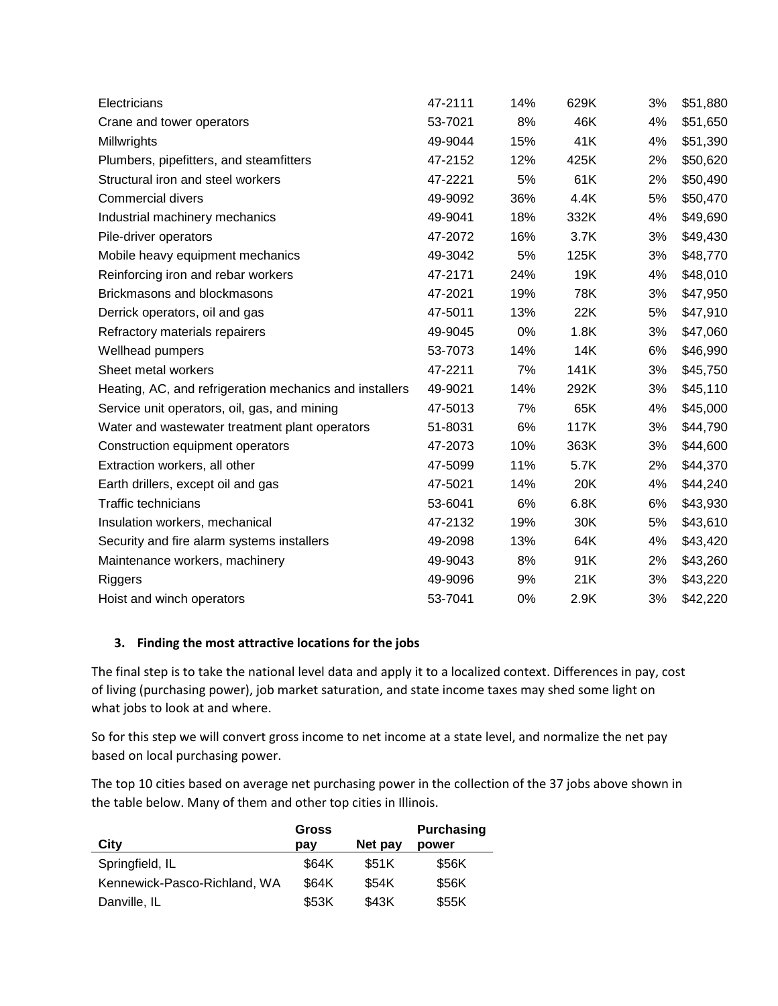| Electricians                                            | 47-2111 | 14% | 629K | 3% | \$51,880 |
|---------------------------------------------------------|---------|-----|------|----|----------|
| Crane and tower operators                               | 53-7021 | 8%  | 46K  | 4% | \$51,650 |
| Millwrights                                             | 49-9044 | 15% | 41K  | 4% | \$51,390 |
| Plumbers, pipefitters, and steamfitters                 | 47-2152 | 12% | 425K | 2% | \$50,620 |
| Structural iron and steel workers                       | 47-2221 | 5%  | 61K  | 2% | \$50,490 |
| <b>Commercial divers</b>                                | 49-9092 | 36% | 4.4K | 5% | \$50,470 |
| Industrial machinery mechanics                          | 49-9041 | 18% | 332K | 4% | \$49,690 |
| Pile-driver operators                                   | 47-2072 | 16% | 3.7K | 3% | \$49,430 |
| Mobile heavy equipment mechanics                        | 49-3042 | 5%  | 125K | 3% | \$48,770 |
| Reinforcing iron and rebar workers                      | 47-2171 | 24% | 19K  | 4% | \$48,010 |
| Brickmasons and blockmasons                             | 47-2021 | 19% | 78K  | 3% | \$47,950 |
| Derrick operators, oil and gas                          | 47-5011 | 13% | 22K  | 5% | \$47,910 |
| Refractory materials repairers                          | 49-9045 | 0%  | 1.8K | 3% | \$47,060 |
| Wellhead pumpers                                        | 53-7073 | 14% | 14K  | 6% | \$46,990 |
| Sheet metal workers                                     | 47-2211 | 7%  | 141K | 3% | \$45,750 |
| Heating, AC, and refrigeration mechanics and installers | 49-9021 | 14% | 292K | 3% | \$45,110 |
| Service unit operators, oil, gas, and mining            | 47-5013 | 7%  | 65K  | 4% | \$45,000 |
| Water and wastewater treatment plant operators          | 51-8031 | 6%  | 117K | 3% | \$44,790 |
| Construction equipment operators                        | 47-2073 | 10% | 363K | 3% | \$44,600 |
| Extraction workers, all other                           | 47-5099 | 11% | 5.7K | 2% | \$44,370 |
| Earth drillers, except oil and gas                      | 47-5021 | 14% | 20K  | 4% | \$44,240 |
| <b>Traffic technicians</b>                              | 53-6041 | 6%  | 6.8K | 6% | \$43,930 |
| Insulation workers, mechanical                          | 47-2132 | 19% | 30K  | 5% | \$43,610 |
| Security and fire alarm systems installers              | 49-2098 | 13% | 64K  | 4% | \$43,420 |
| Maintenance workers, machinery                          | 49-9043 | 8%  | 91K  | 2% | \$43,260 |
| Riggers                                                 | 49-9096 | 9%  | 21K  | 3% | \$43,220 |
| Hoist and winch operators                               | 53-7041 | 0%  | 2.9K | 3% | \$42,220 |

## **3. Finding the most attractive locations for the jobs**

The final step is to take the national level data and apply it to a localized context. Differences in pay, cost of living (purchasing power), job market saturation, and state income taxes may shed some light on what jobs to look at and where.

So for this step we will convert gross income to net income at a state level, and normalize the net pay based on local purchasing power.

The top 10 cities based on average net purchasing power in the collection of the 37 jobs above shown in the table below. Many of them and other top cities in Illinois.

| City                         | Gross<br>pay | Net pay | <b>Purchasing</b><br>power |
|------------------------------|--------------|---------|----------------------------|
| Springfield, IL              | \$64K        | \$51K   | \$56K                      |
| Kennewick-Pasco-Richland, WA | \$64K        | \$54K   | \$56K                      |
| Danville, IL                 | \$53K        | \$43K   | \$55K                      |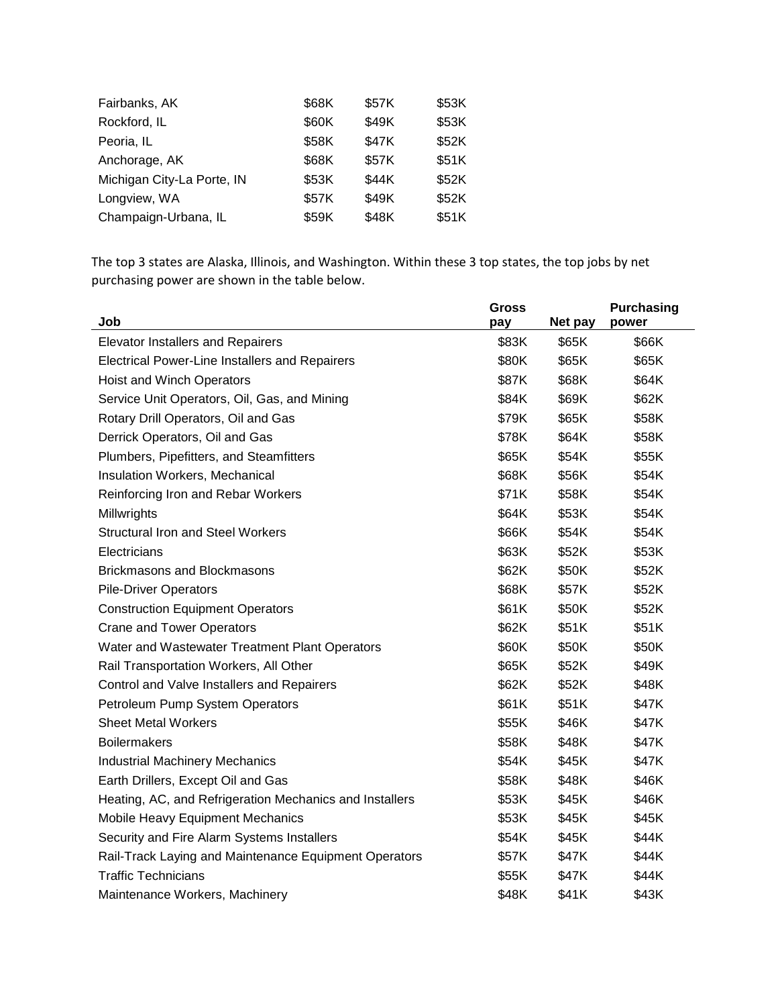| Fairbanks, AK              | \$68K | \$57K | \$53K |
|----------------------------|-------|-------|-------|
| Rockford, IL               | \$60K | \$49K | \$53K |
| Peoria, IL                 | \$58K | \$47K | \$52K |
| Anchorage, AK              | \$68K | \$57K | \$51K |
| Michigan City-La Porte, IN | \$53K | \$44K | \$52K |
| Longview, WA               | \$57K | \$49K | \$52K |
| Champaign-Urbana, IL       | \$59K | \$48K | \$51K |

The top 3 states are Alaska, Illinois, and Washington. Within these 3 top states, the top jobs by net purchasing power are shown in the table below.

|                                                         | <b>Gross</b> |         | <b>Purchasing</b> |
|---------------------------------------------------------|--------------|---------|-------------------|
| Job                                                     | pay          | Net pay | power             |
| <b>Elevator Installers and Repairers</b>                | \$83K        | \$65K   | \$66K             |
| <b>Electrical Power-Line Installers and Repairers</b>   | \$80K        | \$65K   | \$65K             |
| Hoist and Winch Operators                               | \$87K        | \$68K   | \$64K             |
| Service Unit Operators, Oil, Gas, and Mining            | \$84K        | \$69K   | \$62K             |
| Rotary Drill Operators, Oil and Gas                     | \$79K        | \$65K   | \$58K             |
| Derrick Operators, Oil and Gas                          | \$78K        | \$64K   | \$58K             |
| Plumbers, Pipefitters, and Steamfitters                 | \$65K        | \$54K   | \$55K             |
| Insulation Workers, Mechanical                          | \$68K        | \$56K   | \$54K             |
| Reinforcing Iron and Rebar Workers                      | \$71K        | \$58K   | \$54K             |
| Millwrights                                             | \$64K        | \$53K   | \$54K             |
| <b>Structural Iron and Steel Workers</b>                | \$66K        | \$54K   | \$54K             |
| Electricians                                            | \$63K        | \$52K   | \$53K             |
| <b>Brickmasons and Blockmasons</b>                      | \$62K        | \$50K   | \$52K             |
| <b>Pile-Driver Operators</b>                            | \$68K        | \$57K   | \$52K             |
| <b>Construction Equipment Operators</b>                 | \$61K        | \$50K   | \$52K             |
| <b>Crane and Tower Operators</b>                        | \$62K        | \$51K   | \$51K             |
| Water and Wastewater Treatment Plant Operators          | \$60K        | \$50K   | \$50K             |
| Rail Transportation Workers, All Other                  | \$65K        | \$52K   | \$49K             |
| Control and Valve Installers and Repairers              | \$62K        | \$52K   | \$48K             |
| Petroleum Pump System Operators                         | \$61K        | \$51K   | \$47K             |
| <b>Sheet Metal Workers</b>                              | \$55K        | \$46K   | \$47K             |
| <b>Boilermakers</b>                                     | \$58K        | \$48K   | \$47K             |
| <b>Industrial Machinery Mechanics</b>                   | \$54K        | \$45K   | \$47K             |
| Earth Drillers, Except Oil and Gas                      | \$58K        | \$48K   | \$46K             |
| Heating, AC, and Refrigeration Mechanics and Installers | \$53K        | \$45K   | \$46K             |
| Mobile Heavy Equipment Mechanics                        | \$53K        | \$45K   | \$45K             |
| Security and Fire Alarm Systems Installers              | \$54K        | \$45K   | \$44K             |
| Rail-Track Laying and Maintenance Equipment Operators   | \$57K        | \$47K   | \$44K             |
| <b>Traffic Technicians</b>                              | \$55K        | \$47K   | \$44K             |
| Maintenance Workers, Machinery                          | \$48K        | \$41K   | \$43K             |